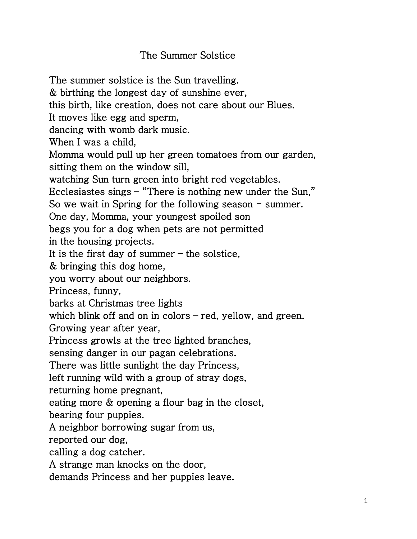## The Summer Solstice

The summer solstice is the Sun travelling. & birthing the longest day of sunshine ever, this birth, like creation, does not care about our Blues. It moves like egg and sperm, dancing with womb dark music. When I was a child, Momma would pull up her green tomatoes from our garden, sitting them on the window sill, watching Sun turn green into bright red vegetables. Ecclesiastes sings – "There is nothing new under the Sun," So we wait in Spring for the following season  $-$  summer. One day, Momma, your youngest spoiled son begs you for a dog when pets are not permitted in the housing projects. It is the first day of summer  $-$  the solstice, & bringing this dog home, you worry about our neighbors. Princess, funny, barks at Christmas tree lights which blink off and on in colors – red, yellow, and green. Growing year after year, Princess growls at the tree lighted branches, sensing danger in our pagan celebrations. There was little sunlight the day Princess, left running wild with a group of stray dogs, returning home pregnant, eating more & opening a flour bag in the closet, bearing four puppies. A neighbor borrowing sugar from us, reported our dog, calling a dog catcher. A strange man knocks on the door, demands Princess and her puppies leave.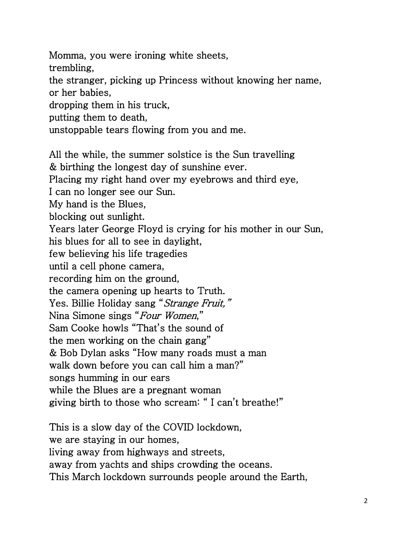Momma, you were ironing white sheets, trembling, the stranger, picking up Princess without knowing her name, or her babies, dropping them in his truck, putting them to death, unstoppable tears flowing from you and me. All the while, the summer solstice is the Sun travelling & birthing the longest day of sunshine ever. Placing my right hand over my eyebrows and third eye, I can no longer see our Sun. My hand is the Blues, blocking out sunlight. Years later George Floyd is crying for his mother in our Sun, his blues for all to see in daylight, few believing his life tragedies until a cell phone camera, recording him on the ground, the camera opening up hearts to Truth. Yes. Billie Holiday sang "Strange Fruit," Nina Simone sings "Four Women," Sam Cooke howls "That's the sound of the men working on the chain gang" & Bob Dylan asks "How many roads must a man walk down before you can call him a man?" songs humming in our ears while the Blues are a pregnant woman giving birth to those who scream: " I can't breathe!" This is a slow day of the COVID lockdown,

we are staying in our homes,

living away from highways and streets,

away from yachts and ships crowding the oceans.

This March lockdown surrounds people around the Earth,